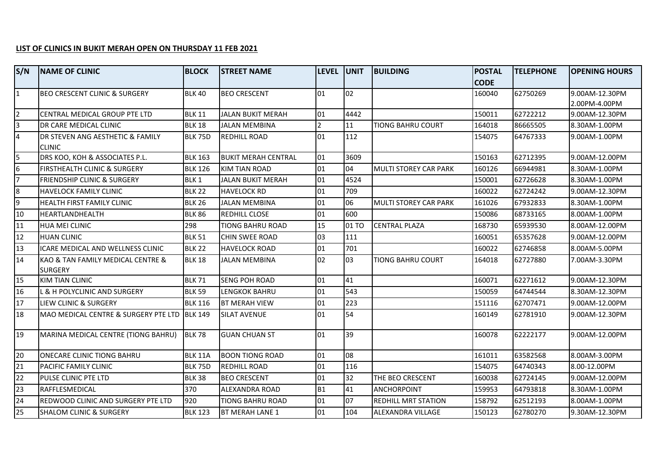## **LIST OF CLINICS IN BUKIT MERAH OPEN ON THURSDAY 11 FEB 2021**

| S/N            | <b>NAME OF CLINIC</b>                         | <b>BLOCK</b>   | <b>STREET NAME</b>         | LEVEL UNIT     |       | <b>BUILDING</b>              | <b>POSTAL</b> | <b>TELEPHONE</b> | <b>OPENING HOURS</b> |
|----------------|-----------------------------------------------|----------------|----------------------------|----------------|-------|------------------------------|---------------|------------------|----------------------|
|                |                                               |                |                            |                |       |                              | <b>CODE</b>   |                  |                      |
| $\mathbf{1}$   | <b>BEO CRESCENT CLINIC &amp; SURGERY</b>      | <b>BLK 40</b>  | <b>BEO CRESCENT</b>        | 01             | 02    |                              | 160040        | 62750269         | 9.00AM-12.30PM       |
|                |                                               |                |                            |                |       |                              |               |                  | 2.00PM-4.00PM        |
| $\overline{2}$ | <b>I</b> CENTRAL MEDICAL GROUP PTE LTD        | <b>BLK 11</b>  | JALAN BUKIT MERAH          | 01             | 4442  |                              | 150011        | 62722212         | 9.00AM-12.30PM       |
| 3              | DR CARE MEDICAL CLINIC                        | <b>BLK 18</b>  | <b>JALAN MEMBINA</b>       | $\overline{2}$ | 11    | <b>TIONG BAHRU COURT</b>     | 164018        | 86665505         | 8.30AM-1.00PM        |
| 4              | DR STEVEN ANG AESTHETIC & FAMILY              | BLK 75D        | <b>REDHILL ROAD</b>        | 01             | 112   |                              | 154075        | 64767333         | 9.00AM-1.00PM        |
|                | <b>CLINIC</b>                                 |                |                            |                |       |                              |               |                  |                      |
|                | DRS KOO, KOH & ASSOCIATES P.L.                | <b>BLK 163</b> | <b>BUKIT MERAH CENTRAL</b> | 01             | 3609  |                              | 150163        | 62712395         | 9.00AM-12.00PM       |
| 6              | <b>FIRSTHEALTH CLINIC &amp; SURGERY</b>       | <b>BLK 126</b> | <b>KIM TIAN ROAD</b>       | 01             | 04    | MULTI STOREY CAR PARK        | 160126        | 66944981         | 8.30AM-1.00PM        |
| 7              | <b>FRIENDSHIP CLINIC &amp; SURGERY</b>        | BLK 1          | JALAN BUKIT MERAH          | 01             | 4524  |                              | 150001        | 62726628         | 8.30AM-1.00PM        |
| 8              | <b>HAVELOCK FAMILY CLINIC</b>                 | <b>BLK 22</b>  | <b>HAVELOCK RD</b>         | 01             | 709   |                              | 160022        | 62724242         | 9.00AM-12.30PM       |
| 9              | <b>HEALTH FIRST FAMILY CLINIC</b>             | <b>BLK 26</b>  | <b>JALAN MEMBINA</b>       | 01             | 06    | <b>MULTI STOREY CAR PARK</b> | 161026        | 67932833         | 8.30AM-1.00PM        |
| 10             | HEARTLANDHEALTH                               | <b>BLK 86</b>  | <b>REDHILL CLOSE</b>       | 01             | 600   |                              | 150086        | 68733165         | 8.00AM-1.00PM        |
| 11             | <b>HUA MEI CLINIC</b>                         | 298            | <b>TIONG BAHRU ROAD</b>    | 15             | 01 TO | <b>CENTRAL PLAZA</b>         | 168730        | 65939530         | 8.00AM-12.00PM       |
| 12             | <b>HUAN CLINIC</b>                            | <b>BLK 51</b>  | <b>CHIN SWEE ROAD</b>      | 03             | 111   |                              | 160051        | 65357628         | 9.00AM-12.00PM       |
| 13             | ICARE MEDICAL AND WELLNESS CLINIC             | <b>BLK 22</b>  | <b>HAVELOCK ROAD</b>       | 01             | 701   |                              | 160022        | 62746858         | 8.00AM-5.00PM        |
| 14             | KAO & TAN FAMILY MEDICAL CENTRE &             | <b>BLK 18</b>  | <b>JALAN MEMBINA</b>       | 02             | 03    | <b>TIONG BAHRU COURT</b>     | 164018        | 62727880         | 7.00AM-3.30PM        |
|                | <b>SURGERY</b>                                |                |                            |                |       |                              |               |                  |                      |
| 15             | <b>KIM TIAN CLINIC</b>                        | <b>BLK 71</b>  | <b>SENG POH ROAD</b>       | 01             | 41    |                              | 160071        | 62271612         | 9.00AM-12.30PM       |
| 16             | L & H POLYCLINIC AND SURGERY                  | <b>BLK 59</b>  | <b>LENGKOK BAHRU</b>       | 01             | 543   |                              | 150059        | 64744544         | 8.30AM-12.30PM       |
| 17             | LIEW CLINIC & SURGERY                         | <b>BLK 116</b> | <b>BT MERAH VIEW</b>       | 01             | 223   |                              | 151116        | 62707471         | 9.00AM-12.00PM       |
| 18             | MAO MEDICAL CENTRE & SURGERY PTE LTD  BLK 149 |                | <b>SILAT AVENUE</b>        | 01             | 54    |                              | 160149        | 62781910         | 9.00AM-12.30PM       |
| 19             | MARINA MEDICAL CENTRE (TIONG BAHRU)           | <b>BLK 78</b>  | <b>GUAN CHUAN ST</b>       | 01             | 39    |                              | 160078        | 62222177         | 9.00AM-12.00PM       |
| 20             | ONECARE CLINIC TIONG BAHRU                    | <b>BLK 11A</b> | <b>BOON TIONG ROAD</b>     | 01             | 08    |                              | 161011        | 63582568         | 8.00AM-3.00PM        |
| 21             | <b>PACIFIC FAMILY CLINIC</b>                  | <b>BLK 75D</b> | <b>REDHILL ROAD</b>        | 01             | 116   |                              | 154075        | 64740343         | 8.00-12.00PM         |
| 22             | PULSE CLINIC PTE LTD                          | <b>BLK 38</b>  | <b>BEO CRESCENT</b>        | 01             | 32    | THE BEO CRESCENT             | 160038        | 62724145         | 9.00AM-12.00PM       |
| 23             | RAFFLESMEDICAL                                | 370            | ALEXANDRA ROAD             | <b>B1</b>      | 41    | <b>ANCHORPOINT</b>           | 159953        | 64793818         | 8.30AM-1.00PM        |
| 24             | <b>REDWOOD CLINIC AND SURGERY PTE LTD</b>     | 920            | <b>TIONG BAHRU ROAD</b>    | 01             | 07    | <b>REDHILL MRT STATION</b>   | 158792        | 62512193         | 8.00AM-1.00PM        |
| 25             | <b>SHALOM CLINIC &amp; SURGERY</b>            | <b>BLK 123</b> | <b>BT MERAH LANE 1</b>     | 01             | 104   | <b>ALEXANDRA VILLAGE</b>     | 150123        | 62780270         | 9.30AM-12.30PM       |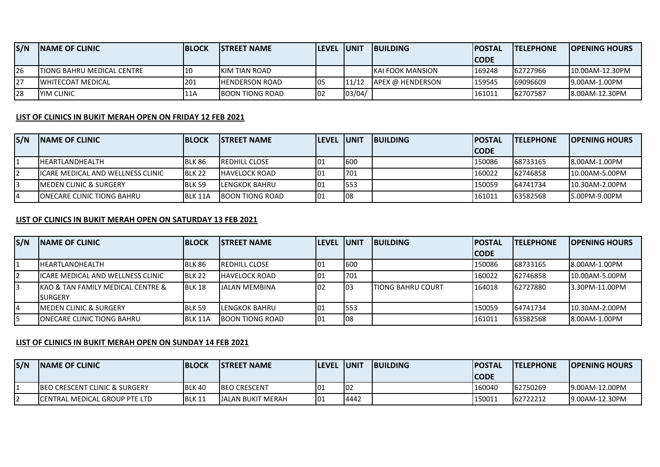| S/N        | <b>INAME OF CLINIC</b>             | <b>IBLOCK</b> | <b>ISTREET NAME</b>    | <b>ILEVEL JUNIT</b> |        | <b>IBUILDING</b>         | <b>IPOSTAL</b> | <b>ITELEPHONE</b> | <b>IOPENING HOURS</b> |
|------------|------------------------------------|---------------|------------------------|---------------------|--------|--------------------------|----------------|-------------------|-----------------------|
|            |                                    |               |                        |                     |        |                          | ICODE          |                   |                       |
| 126        | <b>ITIONG BAHRU MEDICAL CENTRE</b> | l 10          | <b>IKIM TIAN ROAD</b>  |                     |        | <b>IKAI FOOK MANSION</b> | 169248         | 62727966          | 10.00AM-12.30PM       |
| 127        | <b>IWHITECOAT MEDICAL</b>          | '201          | <b>HENDERSON ROAD</b>  | 105                 | 11/12  | <b>LAPEX @ HENDERSON</b> | '159545        | 69096609          | 19.00AM-1.00PM        |
| <b>128</b> | <b>IYIM CLINIC</b>                 | 11A           | <b>BOON TIONG ROAD</b> | 102                 | 03/04/ |                          | 161011         | 62707587          | 8.00AM-12.30PM        |

## **LIST OF CLINICS IN BUKIT MERAH OPEN ON FRIDAY 12 FEB 2021**

| S/N | <b>INAME OF CLINIC</b>                    | <b>IBLOCK</b> | <b>ISTREET NAME</b>    | <b>ILEVEL IUNIT</b> |      | <b>IBUILDING</b> | <b>IPOSTAL</b> | <b>ITELEPHONE</b> | <b>IOPENING HOURS</b> |
|-----|-------------------------------------------|---------------|------------------------|---------------------|------|------------------|----------------|-------------------|-----------------------|
|     |                                           |               |                        |                     |      |                  | <b>CODE</b>    |                   |                       |
|     | <b>IHEARTLANDHEALTH</b>                   | <b>BLK 86</b> | <b>IREDHILL CLOSE</b>  | 101                 | 600  |                  | 150086         | 68733165          | 18.00AM-1.00PM        |
|     | <b>IICARE MEDICAL AND WELLNESS CLINIC</b> | <b>BLK 22</b> | <b>HAVELOCK ROAD</b>   | 101                 | 701  |                  | 160022         | 62746858          | 10.00AM-5.00PM        |
|     | <b>IMEDEN CLINIC &amp; SURGERY</b>        | <b>BLK 59</b> | <b>LENGKOK BAHRU</b>   | 101                 | 1553 |                  | 150059         | 64741734          | 10.30AM-2.00PM        |
|     | <b>IONECARE CLINIC TIONG BAHRU</b>        | BLK 11A       | <b>BOON TIONG ROAD</b> | 01                  | 108  |                  | 161011         | 63582568          | 15.00PM-9.00PM        |

## **LIST OF CLINICS IN BUKIT MERAH OPEN ON SATURDAY 13 FEB 2021**

| S/N | <b>INAME OF CLINIC</b>                            | <b>BLOCK</b>   | <b>ISTREET NAME</b>    | <b>ILEVEL IUNIT</b> |     | <b>IBUILDING</b>           | <b>POSTAL</b> | <b>ITELEPHONE</b> | <b>IOPENING HOURS</b> |
|-----|---------------------------------------------------|----------------|------------------------|---------------------|-----|----------------------------|---------------|-------------------|-----------------------|
|     |                                                   |                |                        |                     |     |                            | <b>CODE</b>   |                   |                       |
|     | IHEARTLANDHEALTH                                  | BLK 86         | <b>IREDHILL CLOSE</b>  | l01                 | 600 |                            | 150086        | 68733165          | 8.00AM-1.00PM         |
|     | ICARE MEDICAL AND WELLNESS CLINIC                 | <b>BLK 22</b>  | <b>HAVELOCK ROAD</b>   | 01                  | 701 |                            | 160022        | 62746858          | 10.00AM-5.00PM        |
|     | <b>IKAO &amp; TAN FAMILY MEDICAL CENTRE &amp;</b> | BLK 18         | JALAN MEMBINA          | 02                  | 103 | <b>I</b> TIONG BAHRU COURT | 164018        | 62727880          | 13.30PM-11.00PM       |
|     | <b>SURGERY</b>                                    |                |                        |                     |     |                            |               |                   |                       |
|     | <b>IMEDEN CLINIC &amp; SURGERY</b>                | <b>BLK 59</b>  | <b>ILENGKOK BAHRU</b>  | 01                  | 553 |                            | 150059        | 64741734          | 10.30AM-2.00PM        |
|     | <b>ONECARE CLINIC TIONG BAHRU</b>                 | <b>BLK 11A</b> | <b>BOON TIONG ROAD</b> | 01                  | 108 |                            | 161011        | 63582568          | 8.00AM-1.00PM         |

## **LIST OF CLINICS IN BUKIT MERAH OPEN ON SUNDAY 14 FEB 2021**

| S/N | <b>INAME OF CLINIC</b>                    | <b>BLOCK</b>  | <b>ISTREET NAME</b>      | <b>LEVEL UNIT</b> |      | <b>IBUILDING</b> | <b>IPOSTAL</b><br>ICODE | <b>ITELEPHONE</b> | <b>IOPENING HOURS</b> |
|-----|-------------------------------------------|---------------|--------------------------|-------------------|------|------------------|-------------------------|-------------------|-----------------------|
|     | <b>IBEO CRESCENT CLINIC &amp; SURGERY</b> | <b>BLK 40</b> | <b>IBEO CRESCENT</b>     | l01               | 102  |                  | 160040                  | 62750269          | 19.00AM-12.00PM       |
|     | <b>ICENTRAL MEDICAL GROUP PTE LTD</b>     | BLK 11        | <b>JALAN BUKIT MERAH</b> | 01                | 4442 |                  | 150011                  | 62722212          | 19.00AM-12.30PM       |